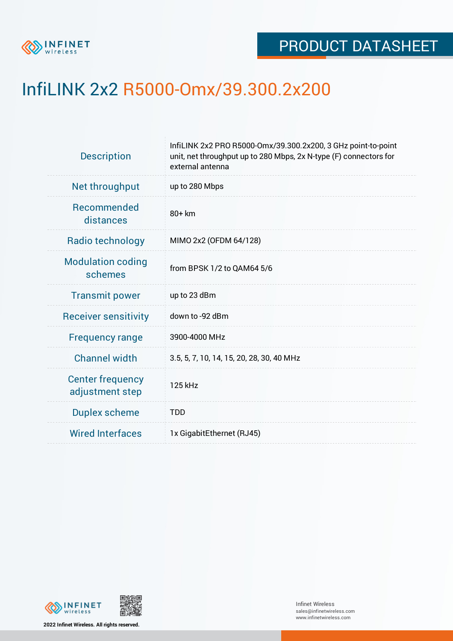

## InfiLINK 2x2 R5000-Omx/39.300.2x200

| <b>Description</b>                         | InfiLINK 2x2 PRO R5000-Omx/39.300.2x200, 3 GHz point-to-point<br>unit, net throughput up to 280 Mbps, 2x N-type (F) connectors for<br>external antenna |  |  |  |
|--------------------------------------------|--------------------------------------------------------------------------------------------------------------------------------------------------------|--|--|--|
| Net throughput                             | up to 280 Mbps                                                                                                                                         |  |  |  |
| Recommended<br>distances                   | 80+ km                                                                                                                                                 |  |  |  |
| Radio technology                           | MIMO 2x2 (OFDM 64/128)                                                                                                                                 |  |  |  |
| <b>Modulation coding</b><br>schemes        | from BPSK 1/2 to QAM64 5/6                                                                                                                             |  |  |  |
| <b>Transmit power</b>                      | up to 23 dBm                                                                                                                                           |  |  |  |
| <b>Receiver sensitivity</b>                | down to -92 dBm                                                                                                                                        |  |  |  |
| <b>Frequency range</b>                     | 3900-4000 MHz                                                                                                                                          |  |  |  |
| <b>Channel width</b>                       | 3.5, 5, 7, 10, 14, 15, 20, 28, 30, 40 MHz                                                                                                              |  |  |  |
| <b>Center frequency</b><br>adjustment step | 125 kHz                                                                                                                                                |  |  |  |
| <b>Duplex scheme</b>                       | <b>TDD</b>                                                                                                                                             |  |  |  |
| <b>Wired Interfaces</b>                    | 1x GigabitEthernet (RJ45)                                                                                                                              |  |  |  |
|                                            |                                                                                                                                                        |  |  |  |





**2022 Infinet Wireless. All rights reserved.**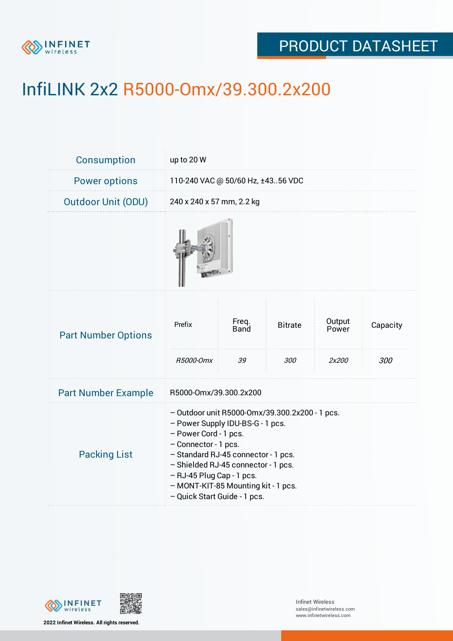

## PRODUCT DATASHEET

# InfiLINK 2x2 R5000-Omx/39.300.2x200

| Consumption                | up to 20 W                                                                                                                                                                                                                                                                                                            |                            |                       |                          |                 |  |
|----------------------------|-----------------------------------------------------------------------------------------------------------------------------------------------------------------------------------------------------------------------------------------------------------------------------------------------------------------------|----------------------------|-----------------------|--------------------------|-----------------|--|
| <b>Power options</b>       | 110-240 VAC @ 50/60 Hz, ±4356 VDC                                                                                                                                                                                                                                                                                     |                            |                       |                          |                 |  |
| <b>Outdoor Unit (ODU)</b>  | 240 x 240 x 57 mm, 2.2 kg                                                                                                                                                                                                                                                                                             |                            |                       |                          |                 |  |
|                            |                                                                                                                                                                                                                                                                                                                       |                            |                       |                          |                 |  |
| <b>Part Number Options</b> | Prefix<br>R5000-Omx                                                                                                                                                                                                                                                                                                   | Freq.<br><b>Band</b><br>39 | <b>Bitrate</b><br>300 | Output<br>Power<br>2x200 | Capacity<br>300 |  |
| <b>Part Number Example</b> | R5000-Omx/39.300.2x200                                                                                                                                                                                                                                                                                                |                            |                       |                          |                 |  |
| <b>Packing List</b>        | - Outdoor unit R5000-Omx/39.300.2x200 - 1 pcs.<br>- Power Supply IDU-BS-G - 1 pcs.<br>- Power Cord - 1 pcs.<br>- Connector - 1 pcs.<br>- Standard RJ-45 connector - 1 pcs.<br>- Shielded RJ-45 connector - 1 pcs.<br>- RJ-45 Plug Cap - 1 pcs.<br>- MONT-KIT-85 Mounting kit - 1 pcs.<br>- Quick Start Guide - 1 pcs. |                            |                       |                          |                 |  |



**2022 Infinet Wireless. All rights reserved.**

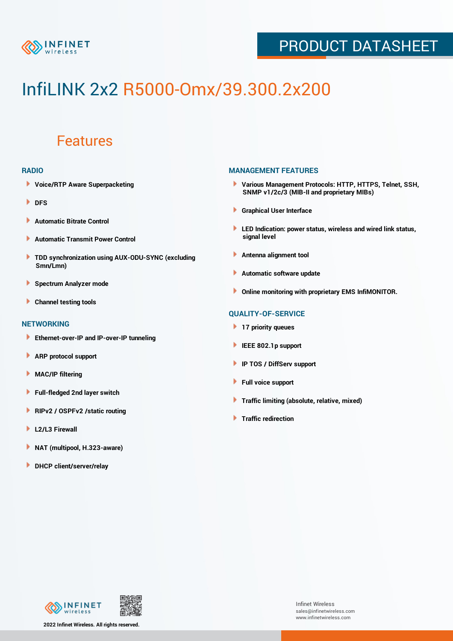

## PRODUCT DATASHEET

# InfiLINK 2x2 R5000-Omx/39.300.2x200

### Features

#### **RADIO**

- **Voice/RTP Aware Superpacketing**
- **DFS**
- **Automatic Bitrate Control** Þ
- Þ **Automatic Transmit Power Control**
- ь **TDD synchronization using AUX-ODU-SYNC (excluding Smn/Lmn)**
- **Spectrum Analyzer mode** ۰
- **Channel testing tools** ١

#### **NETWORKING**

- **Ethernet-over-IP and IP-over-IP tunneling**
- Þ **ARP protocol support**
- ۱ **MAC/IP filtering**
- Þ **Full-fledged 2nd layer switch**
- Þ **RIPv2 / OSPFv2 /static routing**
- **L2/L3 Firewall** Þ
- **NAT (multipool, H.323-aware)** Þ
- Þ **DHCP client/server/relay**

#### **MANAGEMENT FEATURES**

- **Various Management Protocols: HTTP, HTTPS, Telnet, SSH, SNMP v1/2c/3 (MIB-II and proprietary MIBs)**
- **Graphical User Interface**
- **LED Indication: power status, wireless and wired link status, signal level**
- **Antenna alignment tool**
- ٠ **Automatic software update**
- **Online monitoring with proprietary EMS InfiMONITOR.**

#### **QUALITY-OF-SERVICE**

- **17 priority queues**
- **IEEE 802.1p support**
- **IP TOS / DiffServ support**
- ٠ **Full voice support**
- **Traffic limiting (absolute, relative, mixed)** ٠
- **Traffic redirection**